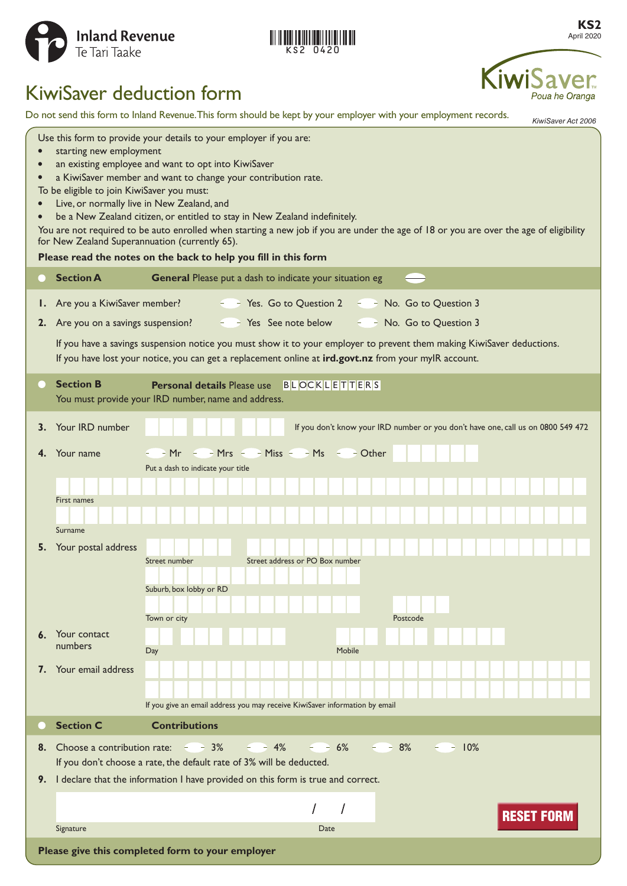

|  | KS2 0420 |  |  |  |
|--|----------|--|--|--|

**KS2** April 2020

Poua he Oranga

# KiwiSaver deduction form

Do not send this form to Inland Revenue. This form should be kept by your employer with your employment records.

*KiwiSaver Act 2006* Use this form to provide your details to your employer if you are: **•** starting new employment **•** an existing employee and want to opt into KiwiSaver **•** a KiwiSaver member and want to change your contribution rate. To be eligible to join KiwiSaver you must: **•** Live, or normally live in New Zealand, and **•** be a New Zealand citizen, or entitled to stay in New Zealand indefinitely. You are not required to be auto enrolled when starting a new job if you are under the age of 18 or you are over the age of eligibility for New Zealand Superannuation (currently 65). **Please read the notes on the back to help you fill in this form Section A General** Please put a dash to indicate your situation eg **1.** Are you a KiwiSaver member? **The State State State Contract Contract** Are you a KiwiSaver member? **The State State Contract Are State** State Outstan Are State Outstan 3 **2.** Are you on a savings suspension?  $\leq$  Yes See note below  $\leq$  No. Go to Question 3 If you have a savings suspension notice you must show it to your employer to prevent them making KiwiSaver deductions. If you have lost your notice, you can get a replacement online at **ird.govt.nz** from your myIR account. **Section B Personal details** Please use BLOCKLETTERS You must provide your IRD number, name and address. **3.** Your IRD number **If you don't know your IRD number or you don't have one, call us on 0800 549 472 4.** Your name  $-Mr$   $-Mrs$   $-Miss$   $-Miss$   $-Ms$   $-$  Other Put a dash to indicate your title First names Surname **5.** Your postal address Street number Street address or PO Box number Suburb, box lobby or RD Town or city Postcode **6.** Your contact numbers Day Day **Day 1999 7.** Your email address If you give an email address you may receive KiwiSaver information by email **Section C Contributions 8.** Choose a contribution rate:  $\overline{3}$  8%  $\overline{4}$  8%  $\overline{6}$  8%  $\overline{6}$  9%  $\overline{6}$  9% If you don't choose a rate, the default rate of 3% will be deducted. **9.** I declare that the information I have provided on this form is true and correct. Signature Date of the Contract of the Contract of the Contract of the Contract of the Date Signature **Please give this completed form to your employer**<br>Please give this completed form to your employer